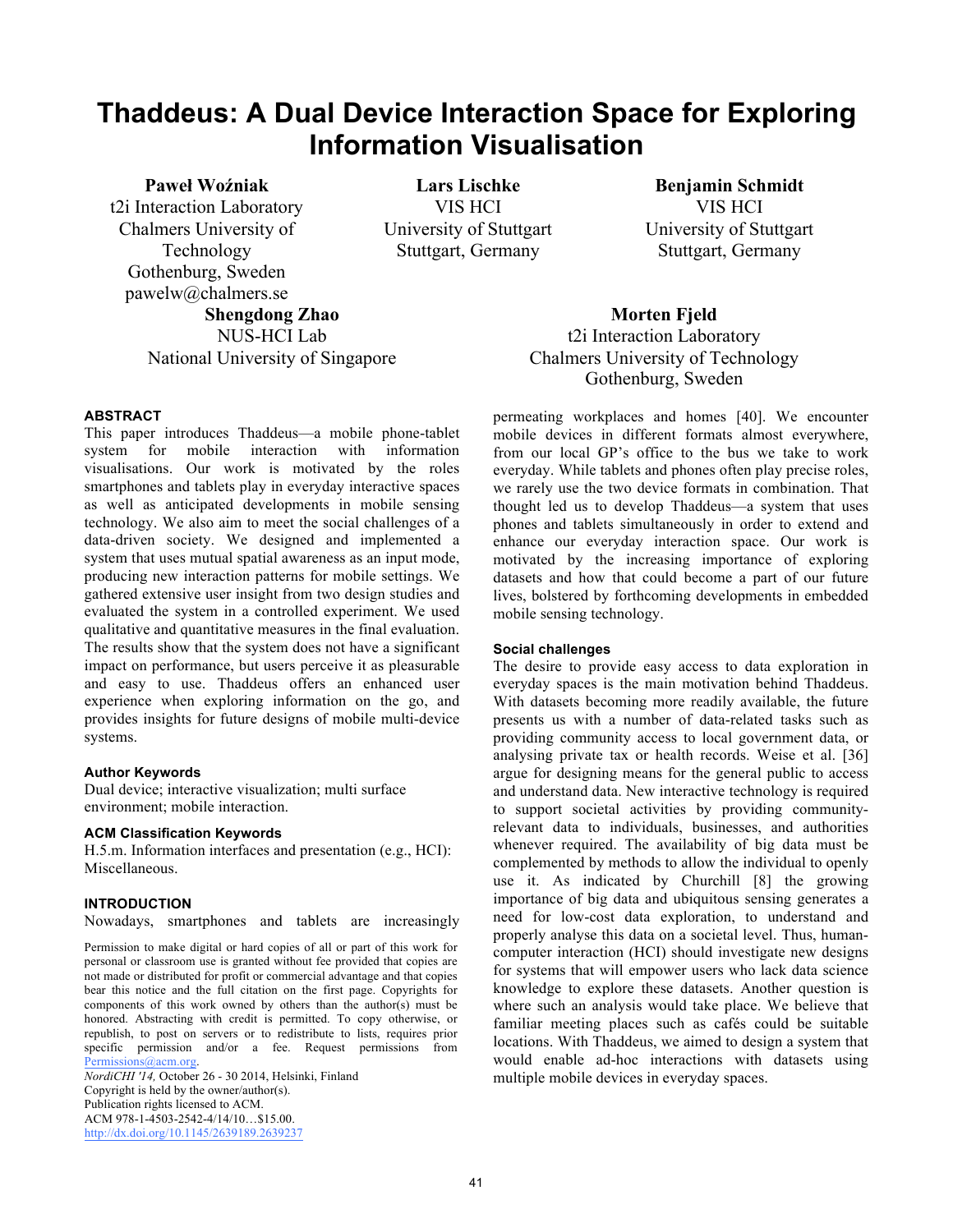# **Thaddeus: A Dual Device Interaction Space for Exploring Information Visualisation**

# **Paweł Woźniak**

t2i Interaction Laboratory Chalmers University of Technology Gothenburg, Sweden pawelw@chalmers.se **Shengdong Zhao**  NUS-HCI Lab

**Lars Lischke**  VIS HCI University of Stuttgart Stuttgart, Germany

**Benjamin Schmidt**  VIS HCI University of Stuttgart Stuttgart, Germany

**Morten Fjeld**  t2i Interaction Laboratory Chalmers University of Technology Gothenburg, Sweden

#### **ABSTRACT**

This paper introduces Thaddeus—a mobile phone-tablet system for mobile interaction with information visualisations. Our work is motivated by the roles smartphones and tablets play in everyday interactive spaces as well as anticipated developments in mobile sensing technology. We also aim to meet the social challenges of a data-driven society. We designed and implemented a system that uses mutual spatial awareness as an input mode, producing new interaction patterns for mobile settings. We gathered extensive user insight from two design studies and evaluated the system in a controlled experiment. We used qualitative and quantitative measures in the final evaluation. The results show that the system does not have a significant impact on performance, but users perceive it as pleasurable and easy to use. Thaddeus offers an enhanced user experience when exploring information on the go, and provides insights for future designs of mobile multi-device systems.

National University of Singapore

#### **Author Keywords**

Dual device; interactive visualization; multi surface environment; mobile interaction.

#### **ACM Classification Keywords**

H.5.m. Information interfaces and presentation (e.g., HCI): Miscellaneous.

#### **INTRODUCTION**

Nowadays, smartphones and tablets are increasingly

Permission to make digital or hard copies of all or part of this work for personal or classroom use is granted without fee provided that copies are not made or distributed for profit or commercial advantage and that copies bear this notice and the full citation on the first page. Copyrights for components of this work owned by others than the author(s) must be honored. Abstracting with credit is permitted. To copy otherwise, or republish, to post on servers or to redistribute to lists, requires prior specific permission and/or a fee. Request permissions from Permissions@acm.org.

*NordiCHI '14,* October 26 - 30 2014, Helsinki, Finland Copyright is held by the owner/author(s). Publication rights licensed to ACM. ACM 978-1-4503-2542-4/14/10…\$15.00. http://dx.doi.org/10.1145/2639189.2639237

permeating workplaces and homes [40]. We encounter mobile devices in different formats almost everywhere, from our local GP's office to the bus we take to work everyday. While tablets and phones often play precise roles, we rarely use the two device formats in combination. That thought led us to develop Thaddeus—a system that uses phones and tablets simultaneously in order to extend and enhance our everyday interaction space. Our work is motivated by the increasing importance of exploring datasets and how that could become a part of our future lives, bolstered by forthcoming developments in embedded mobile sensing technology.

# **Social challenges**

The desire to provide easy access to data exploration in everyday spaces is the main motivation behind Thaddeus. With datasets becoming more readily available, the future presents us with a number of data-related tasks such as providing community access to local government data, or analysing private tax or health records. Weise et al. [36] argue for designing means for the general public to access and understand data. New interactive technology is required to support societal activities by providing communityrelevant data to individuals, businesses, and authorities whenever required. The availability of big data must be complemented by methods to allow the individual to openly use it. As indicated by Churchill [8] the growing importance of big data and ubiquitous sensing generates a need for low-cost data exploration, to understand and properly analyse this data on a societal level. Thus, humancomputer interaction (HCI) should investigate new designs for systems that will empower users who lack data science knowledge to explore these datasets. Another question is where such an analysis would take place. We believe that familiar meeting places such as cafés could be suitable locations. With Thaddeus, we aimed to design a system that would enable ad-hoc interactions with datasets using multiple mobile devices in everyday spaces.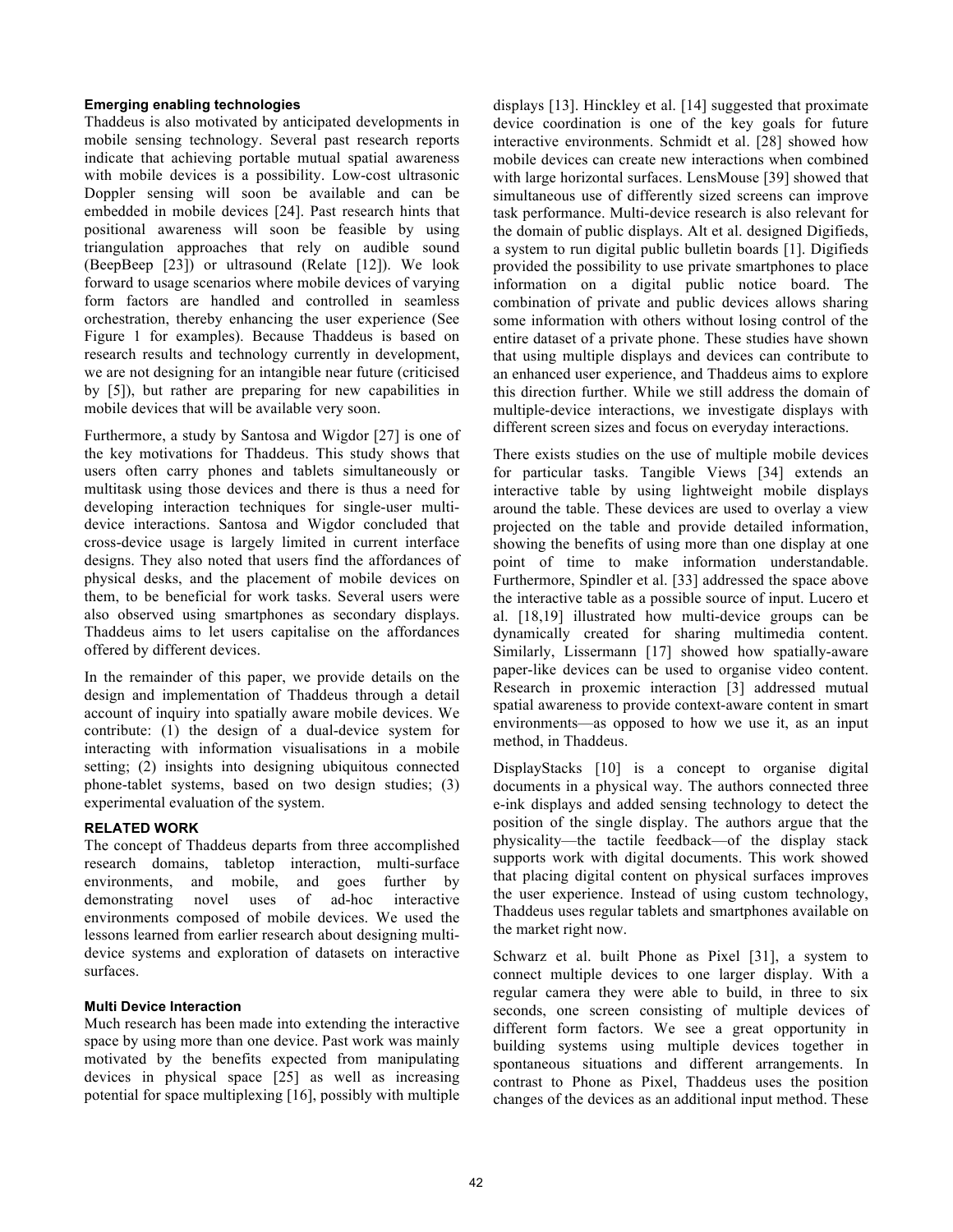# **Emerging enabling technologies**

Thaddeus is also motivated by anticipated developments in mobile sensing technology. Several past research reports indicate that achieving portable mutual spatial awareness with mobile devices is a possibility. Low-cost ultrasonic Doppler sensing will soon be available and can be embedded in mobile devices [24]. Past research hints that positional awareness will soon be feasible by using triangulation approaches that rely on audible sound (BeepBeep [23]) or ultrasound (Relate [12]). We look forward to usage scenarios where mobile devices of varying form factors are handled and controlled in seamless orchestration, thereby enhancing the user experience (See Figure 1 for examples). Because Thaddeus is based on research results and technology currently in development, we are not designing for an intangible near future (criticised by [5]), but rather are preparing for new capabilities in mobile devices that will be available very soon.

Furthermore, a study by Santosa and Wigdor [27] is one of the key motivations for Thaddeus. This study shows that users often carry phones and tablets simultaneously or multitask using those devices and there is thus a need for developing interaction techniques for single-user multidevice interactions. Santosa and Wigdor concluded that cross-device usage is largely limited in current interface designs. They also noted that users find the affordances of physical desks, and the placement of mobile devices on them, to be beneficial for work tasks. Several users were also observed using smartphones as secondary displays. Thaddeus aims to let users capitalise on the affordances offered by different devices.

In the remainder of this paper, we provide details on the design and implementation of Thaddeus through a detail account of inquiry into spatially aware mobile devices. We contribute: (1) the design of a dual-device system for interacting with information visualisations in a mobile setting; (2) insights into designing ubiquitous connected phone-tablet systems, based on two design studies; (3) experimental evaluation of the system.

## **RELATED WORK**

The concept of Thaddeus departs from three accomplished research domains, tabletop interaction, multi-surface environments, and mobile, and goes further by demonstrating novel uses of ad-hoc interactive environments composed of mobile devices. We used the lessons learned from earlier research about designing multidevice systems and exploration of datasets on interactive surfaces.

## **Multi Device Interaction**

Much research has been made into extending the interactive space by using more than one device. Past work was mainly motivated by the benefits expected from manipulating devices in physical space [25] as well as increasing potential for space multiplexing [16], possibly with multiple

displays [13]. Hinckley et al. [14] suggested that proximate device coordination is one of the key goals for future interactive environments. Schmidt et al. [28] showed how mobile devices can create new interactions when combined with large horizontal surfaces. LensMouse [39] showed that simultaneous use of differently sized screens can improve task performance. Multi-device research is also relevant for the domain of public displays. Alt et al. designed Digifieds, a system to run digital public bulletin boards [1]. Digifieds provided the possibility to use private smartphones to place information on a digital public notice board. The combination of private and public devices allows sharing some information with others without losing control of the entire dataset of a private phone. These studies have shown that using multiple displays and devices can contribute to an enhanced user experience, and Thaddeus aims to explore this direction further. While we still address the domain of multiple-device interactions, we investigate displays with different screen sizes and focus on everyday interactions.

There exists studies on the use of multiple mobile devices for particular tasks. Tangible Views [34] extends an interactive table by using lightweight mobile displays around the table. These devices are used to overlay a view projected on the table and provide detailed information, showing the benefits of using more than one display at one point of time to make information understandable. Furthermore, Spindler et al. [33] addressed the space above the interactive table as a possible source of input. Lucero et al. [18,19] illustrated how multi-device groups can be dynamically created for sharing multimedia content. Similarly, Lissermann [17] showed how spatially-aware paper-like devices can be used to organise video content. Research in proxemic interaction [3] addressed mutual spatial awareness to provide context-aware content in smart environments—as opposed to how we use it, as an input method, in Thaddeus.

DisplayStacks [10] is a concept to organise digital documents in a physical way. The authors connected three e-ink displays and added sensing technology to detect the position of the single display. The authors argue that the physicality—the tactile feedback—of the display stack supports work with digital documents. This work showed that placing digital content on physical surfaces improves the user experience. Instead of using custom technology, Thaddeus uses regular tablets and smartphones available on the market right now.

Schwarz et al. built Phone as Pixel [31], a system to connect multiple devices to one larger display. With a regular camera they were able to build, in three to six seconds, one screen consisting of multiple devices of different form factors. We see a great opportunity in building systems using multiple devices together in spontaneous situations and different arrangements. In contrast to Phone as Pixel, Thaddeus uses the position changes of the devices as an additional input method. These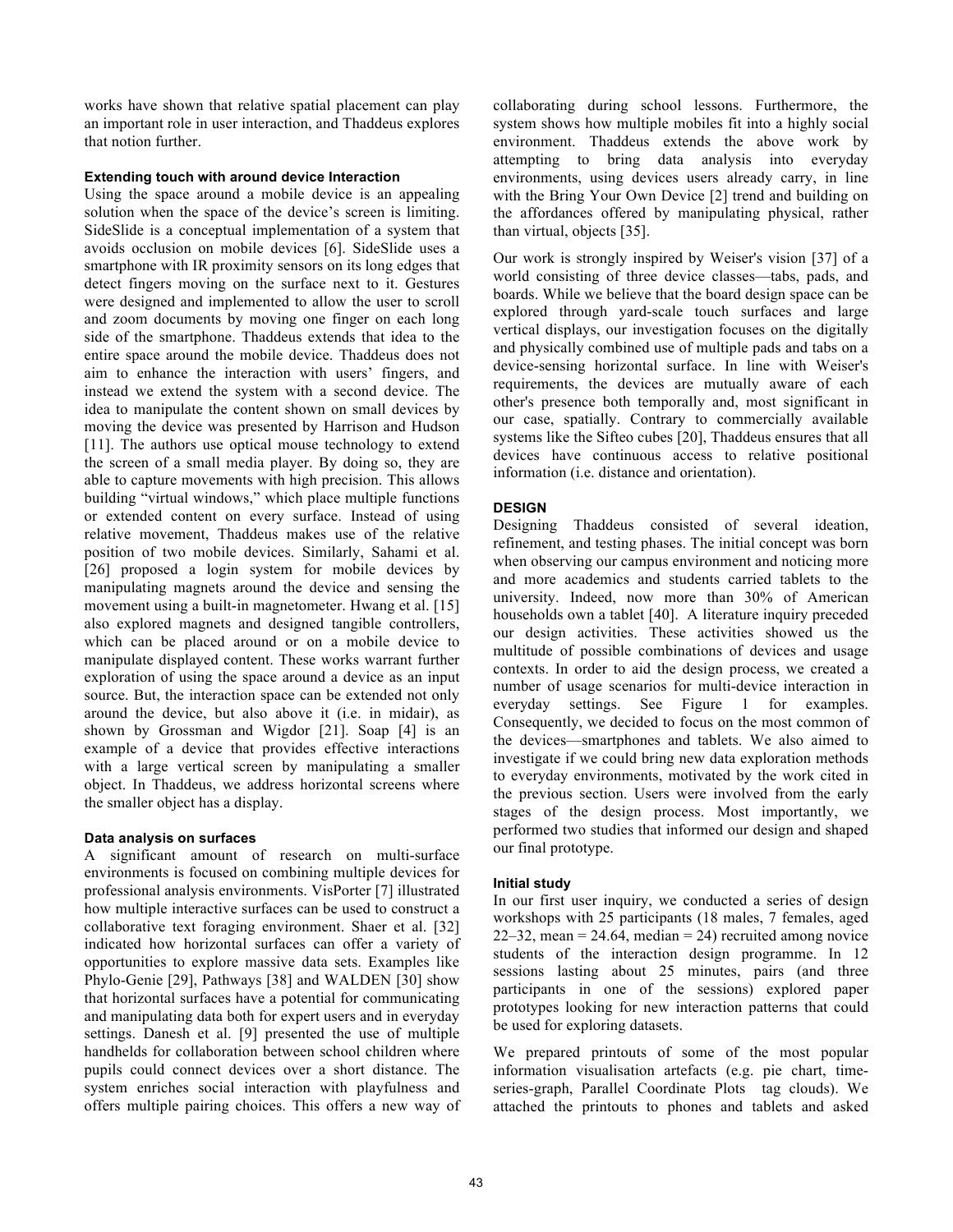works have shown that relative spatial placement can play an important role in user interaction, and Thaddeus explores that notion further.

# **Extending touch with around device Interaction**

Using the space around a mobile device is an appealing solution when the space of the device's screen is limiting. SideSlide is a conceptual implementation of a system that avoids occlusion on mobile devices [6]. SideSlide uses a smartphone with IR proximity sensors on its long edges that detect fingers moving on the surface next to it. Gestures were designed and implemented to allow the user to scroll and zoom documents by moving one finger on each long side of the smartphone. Thaddeus extends that idea to the entire space around the mobile device. Thaddeus does not aim to enhance the interaction with users' fingers, and instead we extend the system with a second device. The idea to manipulate the content shown on small devices by moving the device was presented by Harrison and Hudson [11]. The authors use optical mouse technology to extend the screen of a small media player. By doing so, they are able to capture movements with high precision. This allows building "virtual windows," which place multiple functions or extended content on every surface. Instead of using relative movement, Thaddeus makes use of the relative position of two mobile devices. Similarly, Sahami et al. [26] proposed a login system for mobile devices by manipulating magnets around the device and sensing the movement using a built-in magnetometer. Hwang et al. [15] also explored magnets and designed tangible controllers, which can be placed around or on a mobile device to manipulate displayed content. These works warrant further exploration of using the space around a device as an input source. But, the interaction space can be extended not only around the device, but also above it (i.e. in midair), as shown by Grossman and Wigdor [21]. Soap [4] is an example of a device that provides effective interactions with a large vertical screen by manipulating a smaller object. In Thaddeus, we address horizontal screens where the smaller object has a display.

# **Data analysis on surfaces**

A significant amount of research on multi-surface environments is focused on combining multiple devices for professional analysis environments. VisPorter [7] illustrated how multiple interactive surfaces can be used to construct a collaborative text foraging environment. Shaer et al. [32] indicated how horizontal surfaces can offer a variety of opportunities to explore massive data sets. Examples like Phylo-Genie [29], Pathways [38] and WALDEN [30] show that horizontal surfaces have a potential for communicating and manipulating data both for expert users and in everyday settings. Danesh et al. [9] presented the use of multiple handhelds for collaboration between school children where pupils could connect devices over a short distance. The system enriches social interaction with playfulness and offers multiple pairing choices. This offers a new way of collaborating during school lessons. Furthermore, the system shows how multiple mobiles fit into a highly social environment. Thaddeus extends the above work by attempting to bring data analysis into everyday environments, using devices users already carry, in line with the Bring Your Own Device [2] trend and building on the affordances offered by manipulating physical, rather than virtual, objects [35].

Our work is strongly inspired by Weiser's vision [37] of a world consisting of three device classes—tabs, pads, and boards. While we believe that the board design space can be explored through yard-scale touch surfaces and large vertical displays, our investigation focuses on the digitally and physically combined use of multiple pads and tabs on a device-sensing horizontal surface. In line with Weiser's requirements, the devices are mutually aware of each other's presence both temporally and, most significant in our case, spatially. Contrary to commercially available systems like the Sifteo cubes [20], Thaddeus ensures that all devices have continuous access to relative positional information (i.e. distance and orientation).

# **DESIGN**

Designing Thaddeus consisted of several ideation, refinement, and testing phases. The initial concept was born when observing our campus environment and noticing more and more academics and students carried tablets to the university. Indeed, now more than 30% of American households own a tablet [40]. A literature inquiry preceded our design activities. These activities showed us the multitude of possible combinations of devices and usage contexts. In order to aid the design process, we created a number of usage scenarios for multi-device interaction in everyday settings. See Figure 1 for examples. Consequently, we decided to focus on the most common of the devices—smartphones and tablets. We also aimed to investigate if we could bring new data exploration methods to everyday environments, motivated by the work cited in the previous section. Users were involved from the early stages of the design process. Most importantly, we performed two studies that informed our design and shaped our final prototype.

# **Initial study**

In our first user inquiry, we conducted a series of design workshops with 25 participants (18 males, 7 females, aged  $22-32$ , mean = 24.64, median = 24) recruited among novice students of the interaction design programme. In 12 sessions lasting about 25 minutes, pairs (and three participants in one of the sessions) explored paper prototypes looking for new interaction patterns that could be used for exploring datasets.

We prepared printouts of some of the most popular information visualisation artefacts (e.g. pie chart, timeseries-graph, Parallel Coordinate Plots tag clouds). We attached the printouts to phones and tablets and asked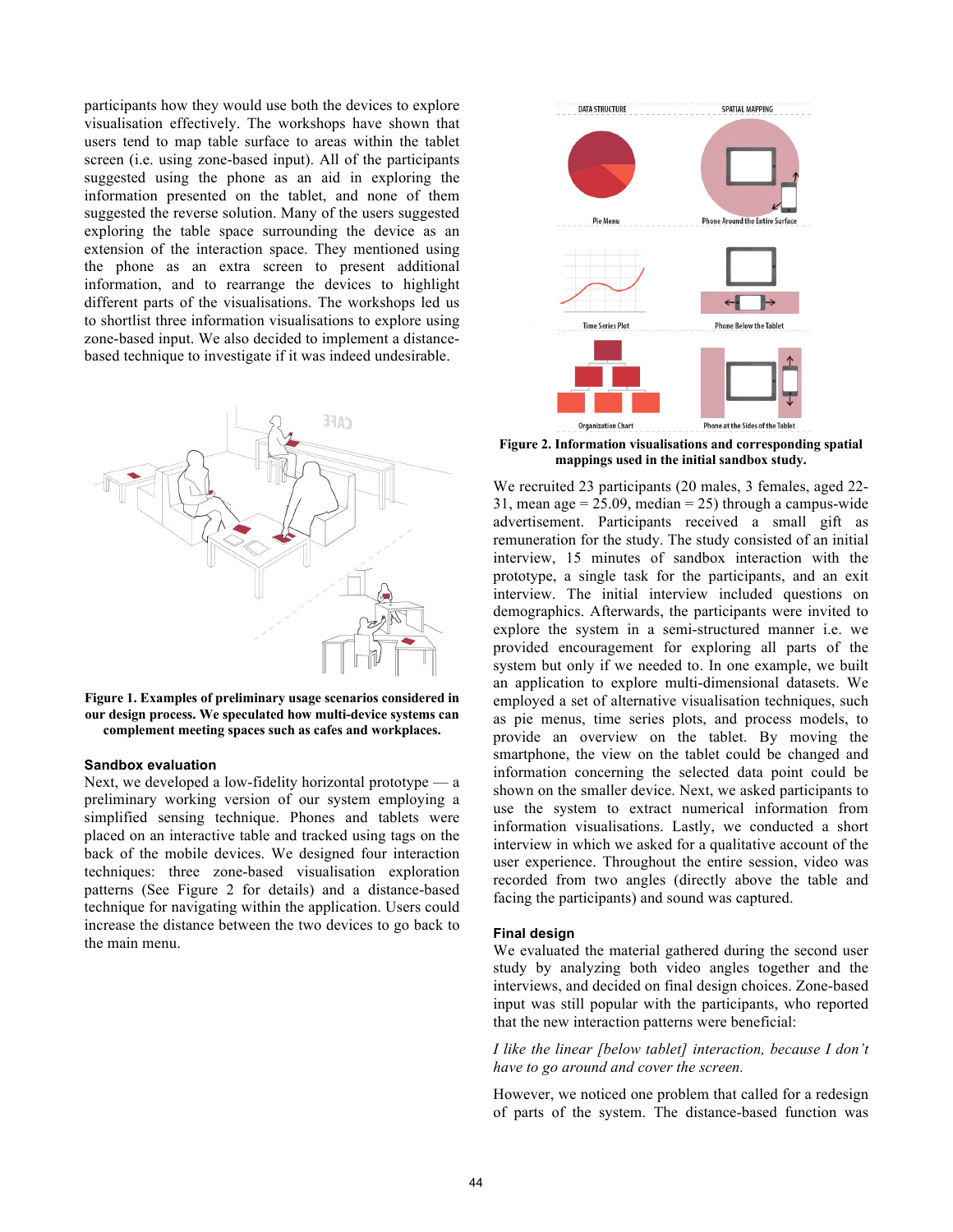participants how they would use both the devices to explore visualisation effectively. The workshops have shown that users tend to map table surface to areas within the tablet screen (i.e. using zone-based input). All of the participants suggested using the phone as an aid in exploring the information presented on the tablet, and none of them suggested the reverse solution. Many of the users suggested exploring the table space surrounding the device as an extension of the interaction space. They mentioned using the phone as an extra screen to present additional information, and to rearrange the devices to highlight different parts of the visualisations. The workshops led us to shortlist three information visualisations to explore using zone-based input. We also decided to implement a distancebased technique to investigate if it was indeed undesirable.



 **Figure 1. Examples of preliminary usage scenarios considered in our design process. We speculated how multi-device systems can complement meeting spaces such as cafes and workplaces.**

#### **Sandbox evaluation**

Next, we developed a low-fidelity horizontal prototype — a preliminary working version of our system employing a simplified sensing technique. Phones and tablets were placed on an interactive table and tracked using tags on the back of the mobile devices. We designed four interaction techniques: three zone-based visualisation exploration patterns (See Figure 2 for details) and a distance-based technique for navigating within the application. Users could increase the distance between the two devices to go back to the main menu.



**Figure 2. Information visualisations and corresponding spatial mappings used in the initial sandbox study.**

We recruited 23 participants (20 males, 3 females, aged 22- 31, mean age  $= 25.09$ , median  $= 25$ ) through a campus-wide advertisement. Participants received a small gift as remuneration for the study. The study consisted of an initial interview, 15 minutes of sandbox interaction with the prototype, a single task for the participants, and an exit interview. The initial interview included questions on demographics. Afterwards, the participants were invited to explore the system in a semi-structured manner i.e. we provided encouragement for exploring all parts of the system but only if we needed to. In one example, we built an application to explore multi-dimensional datasets. We employed a set of alternative visualisation techniques, such as pie menus, time series plots, and process models, to provide an overview on the tablet. By moving the smartphone, the view on the tablet could be changed and information concerning the selected data point could be shown on the smaller device. Next, we asked participants to use the system to extract numerical information from information visualisations. Lastly, we conducted a short interview in which we asked for a qualitative account of the user experience. Throughout the entire session, video was recorded from two angles (directly above the table and facing the participants) and sound was captured.

#### **Final design**

We evaluated the material gathered during the second user study by analyzing both video angles together and the interviews, and decided on final design choices. Zone-based input was still popular with the participants, who reported that the new interaction patterns were beneficial:

*I like the linear [below tablet] interaction, because I don't have to go around and cover the screen.* 

However, we noticed one problem that called for a redesign of parts of the system. The distance-based function was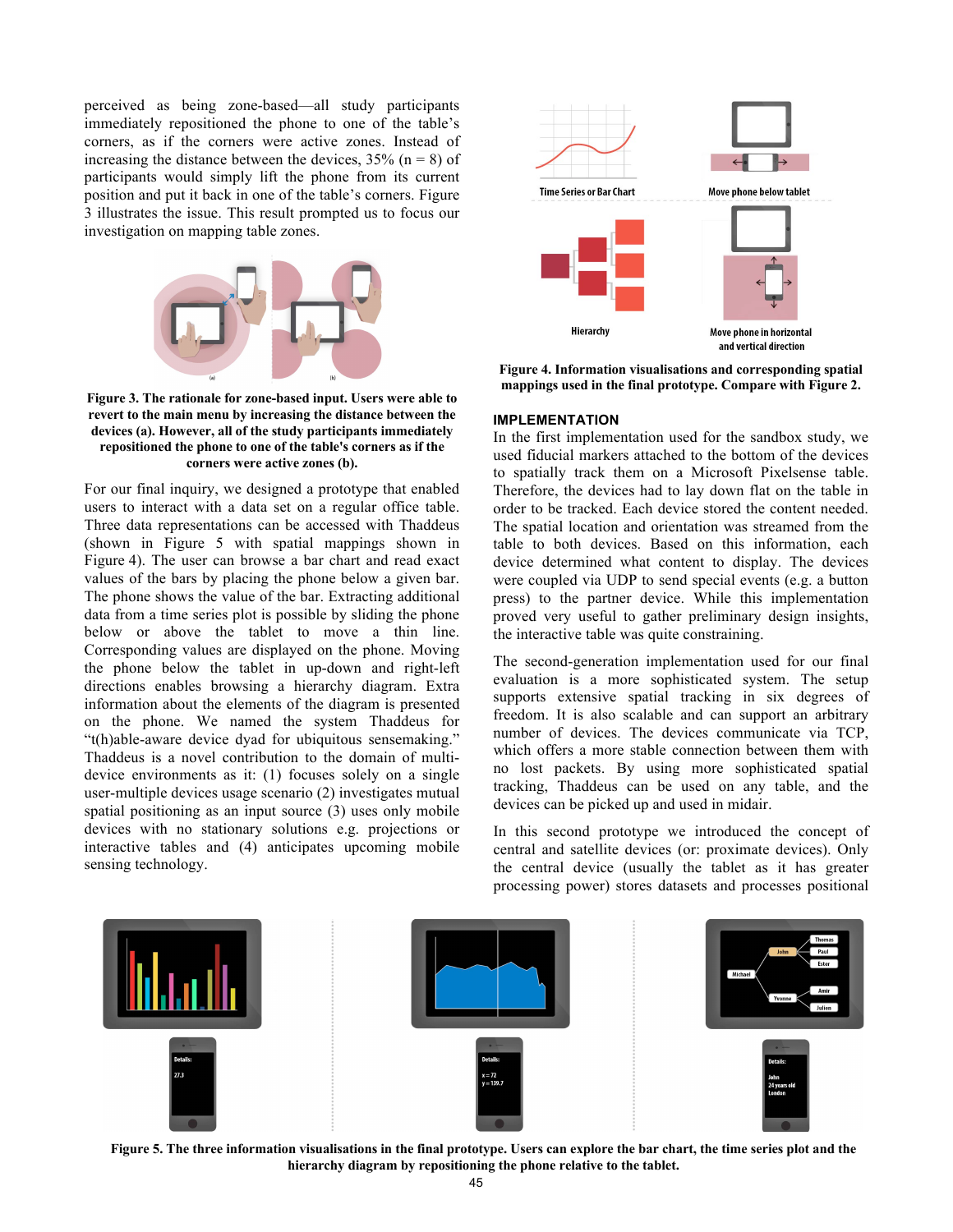perceived as being zone-based—all study participants immediately repositioned the phone to one of the table's corners, as if the corners were active zones. Instead of increasing the distance between the devices,  $35\%$  (n = 8) of participants would simply lift the phone from its current position and put it back in one of the table's corners. Figure 3 illustrates the issue. This result prompted us to focus our investigation on mapping table zones.



**Figure 3. The rationale for zone-based input. Users were able to revert to the main menu by increasing the distance between the devices (a). However, all of the study participants immediately repositioned the phone to one of the table's corners as if the corners were active zones (b).**

For our final inquiry, we designed a prototype that enabled users to interact with a data set on a regular office table. Three data representations can be accessed with Thaddeus (shown in Figure 5 with spatial mappings shown in Figure 4). The user can browse a bar chart and read exact values of the bars by placing the phone below a given bar. The phone shows the value of the bar. Extracting additional data from a time series plot is possible by sliding the phone below or above the tablet to move a thin line. Corresponding values are displayed on the phone. Moving the phone below the tablet in up-down and right-left directions enables browsing a hierarchy diagram. Extra information about the elements of the diagram is presented on the phone. We named the system Thaddeus for "t(h)able-aware device dyad for ubiquitous sensemaking." Thaddeus is a novel contribution to the domain of multidevice environments as it: (1) focuses solely on a single user-multiple devices usage scenario (2) investigates mutual spatial positioning as an input source (3) uses only mobile devices with no stationary solutions e.g. projections or interactive tables and (4) anticipates upcoming mobile sensing technology.



**Figure 4. Information visualisations and corresponding spatial mappings used in the final prototype. Compare with Figure 2.**

#### **IMPLEMENTATION**

In the first implementation used for the sandbox study, we used fiducial markers attached to the bottom of the devices to spatially track them on a Microsoft Pixelsense table. Therefore, the devices had to lay down flat on the table in order to be tracked. Each device stored the content needed. The spatial location and orientation was streamed from the table to both devices. Based on this information, each device determined what content to display. The devices were coupled via UDP to send special events (e.g. a button press) to the partner device. While this implementation proved very useful to gather preliminary design insights, the interactive table was quite constraining.

The second-generation implementation used for our final evaluation is a more sophisticated system. The setup supports extensive spatial tracking in six degrees of freedom. It is also scalable and can support an arbitrary number of devices. The devices communicate via TCP, which offers a more stable connection between them with no lost packets. By using more sophisticated spatial tracking, Thaddeus can be used on any table, and the devices can be picked up and used in midair.

In this second prototype we introduced the concept of central and satellite devices (or: proximate devices). Only the central device (usually the tablet as it has greater processing power) stores datasets and processes positional



**Figure 5. The three information visualisations in the final prototype. Users can explore the bar chart, the time series plot and the hierarchy diagram by repositioning the phone relative to the tablet.**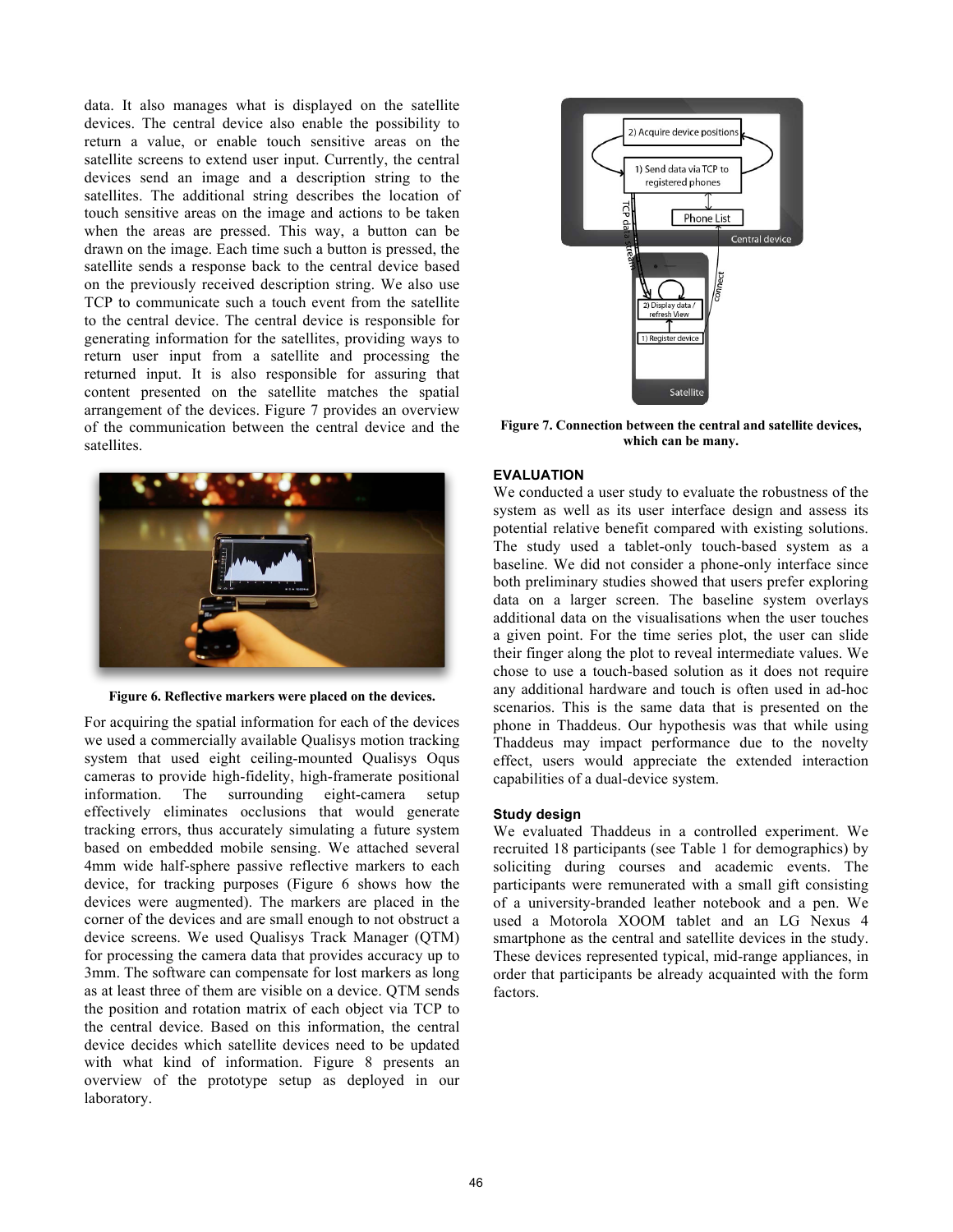data. It also manages what is displayed on the satellite devices. The central device also enable the possibility to return a value, or enable touch sensitive areas on the satellite screens to extend user input. Currently, the central devices send an image and a description string to the satellites. The additional string describes the location of touch sensitive areas on the image and actions to be taken when the areas are pressed. This way, a button can be drawn on the image. Each time such a button is pressed, the satellite sends a response back to the central device based on the previously received description string. We also use TCP to communicate such a touch event from the satellite to the central device. The central device is responsible for generating information for the satellites, providing ways to return user input from a satellite and processing the returned input. It is also responsible for assuring that content presented on the satellite matches the spatial arrangement of the devices. Figure 7 provides an overview of the communication between the central device and the satellites.



**Figure 6. Reflective markers were placed on the devices.**

For acquiring the spatial information for each of the devices we used a commercially available Qualisys motion tracking system that used eight ceiling-mounted Qualisys Oqus cameras to provide high-fidelity, high-framerate positional information. The surrounding eight-camera setup effectively eliminates occlusions that would generate tracking errors, thus accurately simulating a future system based on embedded mobile sensing. We attached several 4mm wide half-sphere passive reflective markers to each device, for tracking purposes (Figure 6 shows how the devices were augmented). The markers are placed in the corner of the devices and are small enough to not obstruct a device screens. We used Qualisys Track Manager (QTM) for processing the camera data that provides accuracy up to 3mm. The software can compensate for lost markers as long as at least three of them are visible on a device. QTM sends the position and rotation matrix of each object via TCP to the central device. Based on this information, the central device decides which satellite devices need to be updated with what kind of information. Figure 8 presents an overview of the prototype setup as deployed in our laboratory.



**Figure 7. Connection between the central and satellite devices, which can be many.** 

# **EVALUATION**

We conducted a user study to evaluate the robustness of the system as well as its user interface design and assess its potential relative benefit compared with existing solutions. The study used a tablet-only touch-based system as a baseline. We did not consider a phone-only interface since both preliminary studies showed that users prefer exploring data on a larger screen. The baseline system overlays additional data on the visualisations when the user touches a given point. For the time series plot, the user can slide their finger along the plot to reveal intermediate values. We chose to use a touch-based solution as it does not require any additional hardware and touch is often used in ad-hoc scenarios. This is the same data that is presented on the phone in Thaddeus. Our hypothesis was that while using Thaddeus may impact performance due to the novelty effect, users would appreciate the extended interaction capabilities of a dual-device system.

# **Study design**

We evaluated Thaddeus in a controlled experiment. We recruited 18 participants (see Table 1 for demographics) by soliciting during courses and academic events. The participants were remunerated with a small gift consisting of a university-branded leather notebook and a pen. We used a Motorola XOOM tablet and an LG Nexus 4 smartphone as the central and satellite devices in the study. These devices represented typical, mid-range appliances, in order that participants be already acquainted with the form factors.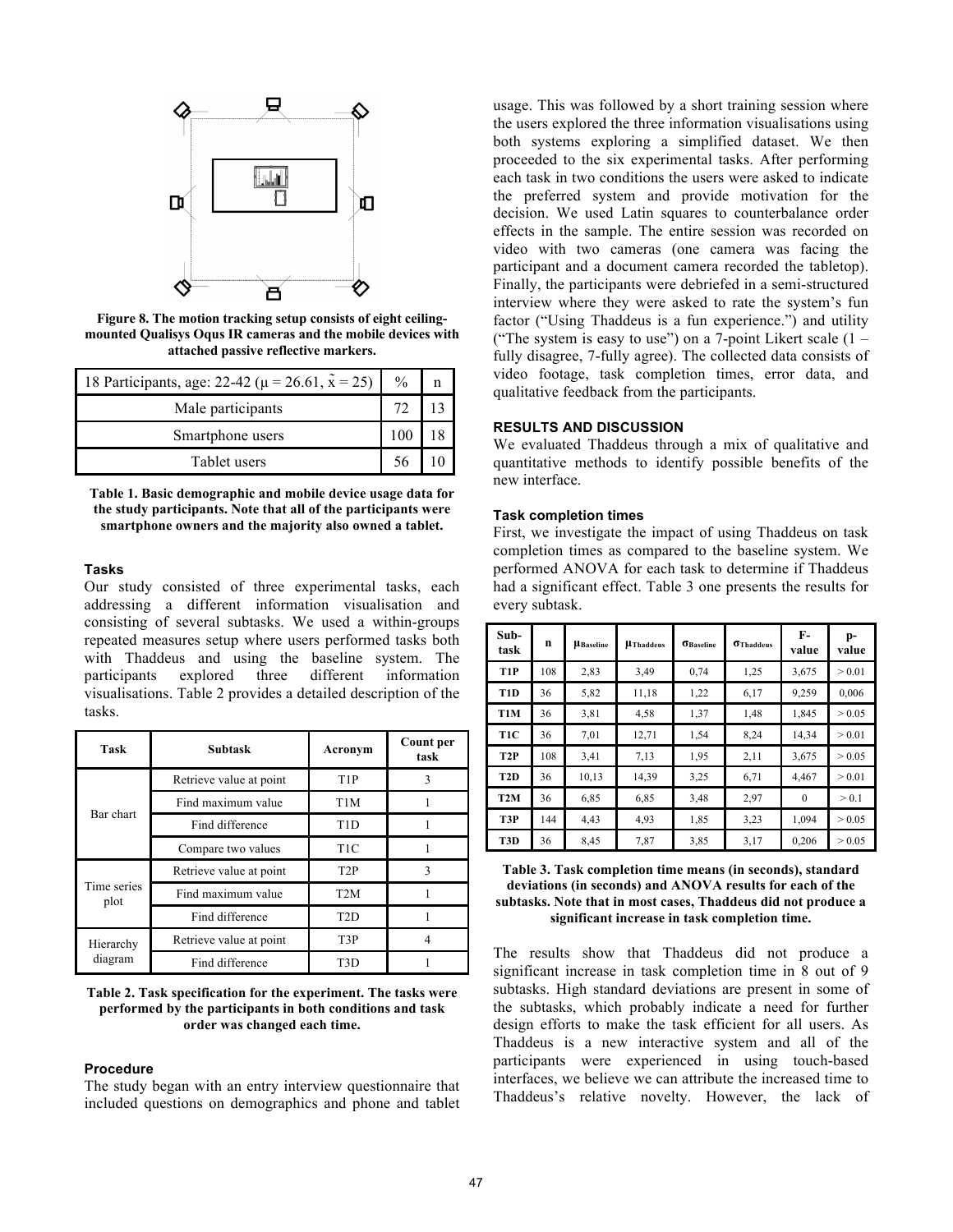

**Figure 8. The motion tracking setup consists of eight ceilingmounted Qualisys Oqus IR cameras and the mobile devices with attached passive reflective markers.** 

| 18 Participants, age: 22-42 ( $\mu$ = 26.61, $\tilde{x}$ = 25) | $\frac{0}{0}$ |  |
|----------------------------------------------------------------|---------------|--|
| Male participants                                              |               |  |
| Smartphone users                                               |               |  |
| Tablet users                                                   |               |  |

**Table 1. Basic demographic and mobile device usage data for the study participants. Note that all of the participants were smartphone owners and the majority also owned a tablet.**

#### **Tasks**

Our study consisted of three experimental tasks, each addressing a different information visualisation and consisting of several subtasks. We used a within-groups repeated measures setup where users performed tasks both with Thaddeus and using the baseline system. The participants explored three different information visualisations. Table 2 provides a detailed description of the tasks.

| Task                 | <b>Subtask</b>          | Acronym          | Count per<br>task |  |
|----------------------|-------------------------|------------------|-------------------|--|
| Bar chart            | Retrieve value at point | T <sub>1</sub> P |                   |  |
|                      | Find maximum value      | T <sub>1</sub> M |                   |  |
|                      | Find difference         | T <sub>1</sub> D |                   |  |
|                      | Compare two values      | T <sub>1C</sub>  |                   |  |
| Time series<br>plot  | Retrieve value at point | T <sub>2</sub> P | 3                 |  |
|                      | Find maximum value      | T <sub>2</sub> M |                   |  |
|                      | Find difference         | T <sub>2</sub> D |                   |  |
| Hierarchy<br>diagram | Retrieve value at point | T <sub>3</sub> P |                   |  |
|                      | Find difference         | T3D              |                   |  |

#### **Table 2. Task specification for the experiment. The tasks were performed by the participants in both conditions and task order was changed each time.**

#### **Procedure**

The study began with an entry interview questionnaire that included questions on demographics and phone and tablet

usage. This was followed by a short training session where the users explored the three information visualisations using both systems exploring a simplified dataset. We then proceeded to the six experimental tasks. After performing each task in two conditions the users were asked to indicate the preferred system and provide motivation for the decision. We used Latin squares to counterbalance order effects in the sample. The entire session was recorded on video with two cameras (one camera was facing the participant and a document camera recorded the tabletop). Finally, the participants were debriefed in a semi-structured interview where they were asked to rate the system's fun factor ("Using Thaddeus is a fun experience.") and utility ("The system is easy to use") on a 7-point Likert scale  $(1$ fully disagree, 7-fully agree). The collected data consists of video footage, task completion times, error data, and qualitative feedback from the participants.

# **RESULTS AND DISCUSSION**

We evaluated Thaddeus through a mix of qualitative and quantitative methods to identify possible benefits of the new interface.

# **Task completion times**

First, we investigate the impact of using Thaddeus on task completion times as compared to the baseline system. We performed ANOVA for each task to determine if Thaddeus had a significant effect. Table 3 one presents the results for every subtask.

| Sub-<br>task     | n   | <b>µ</b> Baseline | <b>µThaddeus</b> | $\sigma_{\text{Baseline}}$ | <b>Thaddeus</b> | $F-$<br>value | p-<br>value |
|------------------|-----|-------------------|------------------|----------------------------|-----------------|---------------|-------------|
| T <sub>1</sub> P | 108 | 2,83              | 3,49             | 0.74                       | 1,25            | 3,675         | > 0.01      |
| T <sub>1</sub> D | 36  | 5,82              | 11,18            | 1,22                       | 6,17            | 9,259         | 0,006       |
| T1M              | 36  | 3,81              | 4,58             | 1,37                       | 1,48            | 1,845         | > 0.05      |
| T <sub>1</sub> C | 36  | 7.01              | 12,71            | 1,54                       | 8,24            | 14,34         | > 0.01      |
| T <sub>2</sub> P | 108 | 3,41              | 7,13             | 1,95                       | 2,11            | 3,675         | > 0.05      |
| T <sub>2</sub> D | 36  | 10,13             | 14,39            | 3,25                       | 6,71            | 4,467         | > 0.01      |
| T <sub>2</sub> M | 36  | 6,85              | 6,85             | 3,48                       | 2,97            | $\mathbf{0}$  | > 0.1       |
| T3P              | 144 | 4,43              | 4,93             | 1,85                       | 3,23            | 1,094         | > 0.05      |
| T3D              | 36  | 8,45              | 7,87             | 3,85                       | 3,17            | 0,206         | > 0.05      |

#### **Table 3. Task completion time means (in seconds), standard deviations (in seconds) and ANOVA results for each of the subtasks. Note that in most cases, Thaddeus did not produce a significant increase in task completion time.**

The results show that Thaddeus did not produce a significant increase in task completion time in 8 out of 9 subtasks. High standard deviations are present in some of the subtasks, which probably indicate a need for further design efforts to make the task efficient for all users. As Thaddeus is a new interactive system and all of the participants were experienced in using touch-based interfaces, we believe we can attribute the increased time to Thaddeus's relative novelty. However, the lack of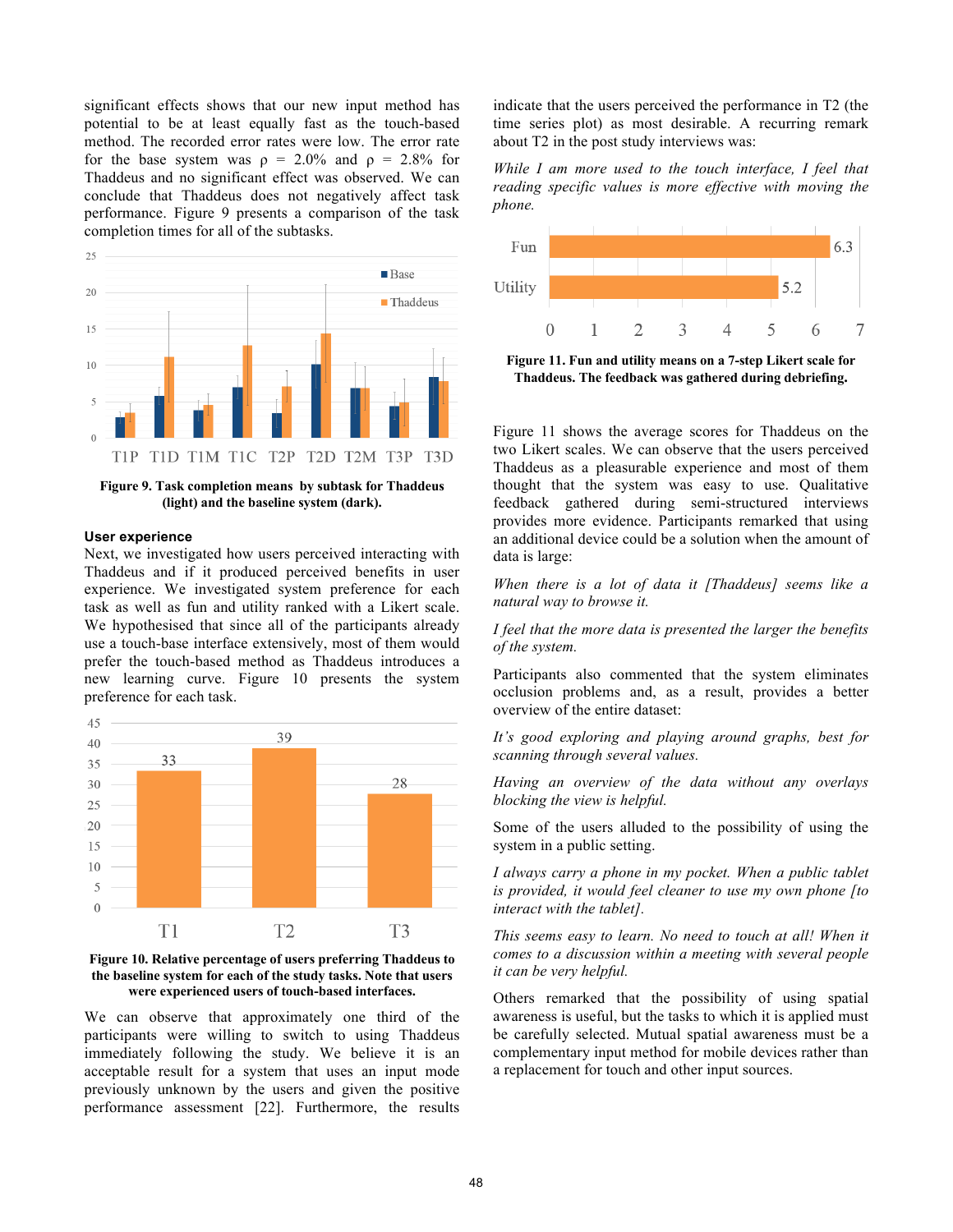significant effects shows that our new input method has potential to be at least equally fast as the touch-based method. The recorded error rates were low. The error rate for the base system was  $\rho = 2.0\%$  and  $\rho = 2.8\%$  for Thaddeus and no significant effect was observed. We can conclude that Thaddeus does not negatively affect task performance. Figure 9 presents a comparison of the task completion times for all of the subtasks.



**Figure 9. Task completion means by subtask for Thaddeus (light) and the baseline system (dark).** 

#### **User experience**

Next, we investigated how users perceived interacting with Thaddeus and if it produced perceived benefits in user experience. We investigated system preference for each task as well as fun and utility ranked with a Likert scale. We hypothesised that since all of the participants already use a touch-base interface extensively, most of them would prefer the touch-based method as Thaddeus introduces a new learning curve. Figure 10 presents the system preference for each task.





We can observe that approximately one third of the participants were willing to switch to using Thaddeus immediately following the study. We believe it is an acceptable result for a system that uses an input mode previously unknown by the users and given the positive performance assessment [22]. Furthermore, the results

indicate that the users perceived the performance in T2 (the time series plot) as most desirable. A recurring remark about T2 in the post study interviews was:

*While I am more used to the touch interface, I feel that reading specific values is more effective with moving the phone.*



**Figure 11. Fun and utility means on a 7-step Likert scale for Thaddeus. The feedback was gathered during debriefing.** 

Figure 11 shows the average scores for Thaddeus on the two Likert scales. We can observe that the users perceived Thaddeus as a pleasurable experience and most of them thought that the system was easy to use. Qualitative feedback gathered during semi-structured interviews provides more evidence. Participants remarked that using an additional device could be a solution when the amount of data is large:

*When there is a lot of data it [Thaddeus] seems like a natural way to browse it.*

*I feel that the more data is presented the larger the benefits of the system.*

Participants also commented that the system eliminates occlusion problems and, as a result, provides a better overview of the entire dataset:

*It's good exploring and playing around graphs, best for scanning through several values.*

*Having an overview of the data without any overlays blocking the view is helpful.*

Some of the users alluded to the possibility of using the system in a public setting.

*I always carry a phone in my pocket. When a public tablet is provided, it would feel cleaner to use my own phone [to interact with the tablet].*

*This seems easy to learn. No need to touch at all! When it comes to a discussion within a meeting with several people it can be very helpful.*

Others remarked that the possibility of using spatial awareness is useful, but the tasks to which it is applied must be carefully selected. Mutual spatial awareness must be a complementary input method for mobile devices rather than a replacement for touch and other input sources.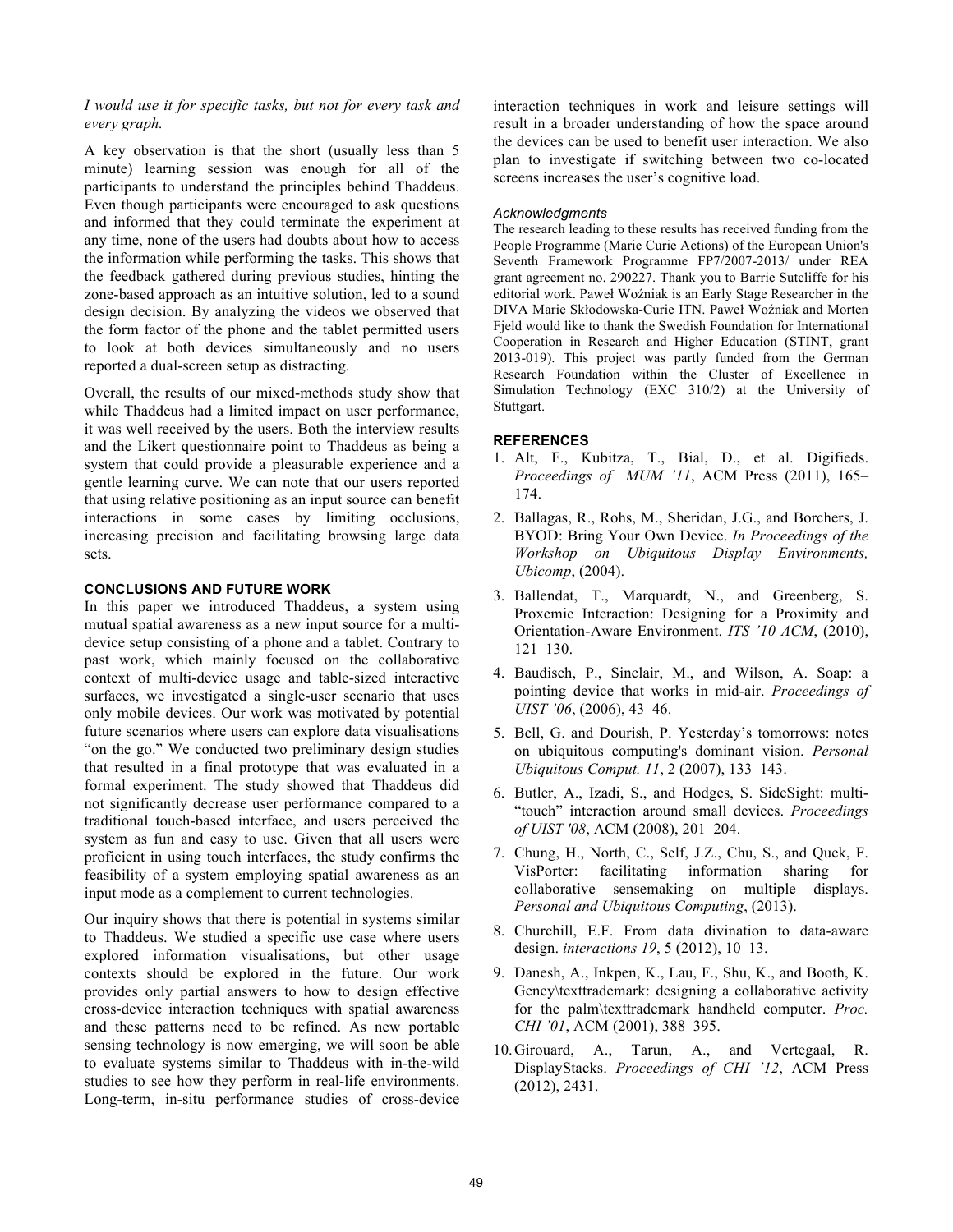# *I would use it for specific tasks, but not for every task and every graph.*

A key observation is that the short (usually less than 5 minute) learning session was enough for all of the participants to understand the principles behind Thaddeus. Even though participants were encouraged to ask questions and informed that they could terminate the experiment at any time, none of the users had doubts about how to access the information while performing the tasks. This shows that the feedback gathered during previous studies, hinting the zone-based approach as an intuitive solution, led to a sound design decision. By analyzing the videos we observed that the form factor of the phone and the tablet permitted users to look at both devices simultaneously and no users reported a dual-screen setup as distracting.

Overall, the results of our mixed-methods study show that while Thaddeus had a limited impact on user performance, it was well received by the users. Both the interview results and the Likert questionnaire point to Thaddeus as being a system that could provide a pleasurable experience and a gentle learning curve. We can note that our users reported that using relative positioning as an input source can benefit interactions in some cases by limiting occlusions, increasing precision and facilitating browsing large data sets.

# **CONCLUSIONS AND FUTURE WORK**

In this paper we introduced Thaddeus, a system using mutual spatial awareness as a new input source for a multidevice setup consisting of a phone and a tablet. Contrary to past work, which mainly focused on the collaborative context of multi-device usage and table-sized interactive surfaces, we investigated a single-user scenario that uses only mobile devices. Our work was motivated by potential future scenarios where users can explore data visualisations "on the go." We conducted two preliminary design studies that resulted in a final prototype that was evaluated in a formal experiment. The study showed that Thaddeus did not significantly decrease user performance compared to a traditional touch-based interface, and users perceived the system as fun and easy to use. Given that all users were proficient in using touch interfaces, the study confirms the feasibility of a system employing spatial awareness as an input mode as a complement to current technologies.

Our inquiry shows that there is potential in systems similar to Thaddeus. We studied a specific use case where users explored information visualisations, but other usage contexts should be explored in the future. Our work provides only partial answers to how to design effective cross-device interaction techniques with spatial awareness and these patterns need to be refined. As new portable sensing technology is now emerging, we will soon be able to evaluate systems similar to Thaddeus with in-the-wild studies to see how they perform in real-life environments. Long-term, in-situ performance studies of cross-device interaction techniques in work and leisure settings will result in a broader understanding of how the space around the devices can be used to benefit user interaction. We also plan to investigate if switching between two co-located screens increases the user's cognitive load.

# *Acknowledgments*

The research leading to these results has received funding from the People Programme (Marie Curie Actions) of the European Union's Seventh Framework Programme FP7/2007-2013/ under REA grant agreement no. 290227. Thank you to Barrie Sutcliffe for his editorial work. Paweł Woźniak is an Early Stage Researcher in the DIVA Marie Skłodowska-Curie ITN. Paweł Woźniak and Morten Fjeld would like to thank the Swedish Foundation for International Cooperation in Research and Higher Education (STINT, grant 2013-019). This project was partly funded from the German Research Foundation within the Cluster of Excellence in Simulation Technology (EXC 310/2) at the University of Stuttgart.

# **REFERENCES**

- 1. Alt, F., Kubitza, T., Bial, D., et al. Digifieds. *Proceedings of MUM '11*, ACM Press (2011), 165– 174.
- 2. Ballagas, R., Rohs, M., Sheridan, J.G., and Borchers, J. BYOD: Bring Your Own Device. *In Proceedings of the Workshop on Ubiquitous Display Environments, Ubicomp*, (2004).
- 3. Ballendat, T., Marquardt, N., and Greenberg, S. Proxemic Interaction: Designing for a Proximity and Orientation-Aware Environment. *ITS '10 ACM*, (2010), 121–130.
- 4. Baudisch, P., Sinclair, M., and Wilson, A. Soap: a pointing device that works in mid-air. *Proceedings of UIST '06*, (2006), 43–46.
- 5. Bell, G. and Dourish, P. Yesterday's tomorrows: notes on ubiquitous computing's dominant vision. *Personal Ubiquitous Comput. 11*, 2 (2007), 133–143.
- 6. Butler, A., Izadi, S., and Hodges, S. SideSight: multi- "touch" interaction around small devices. *Proceedings of UIST '08*, ACM (2008), 201–204.
- 7. Chung, H., North, C., Self, J.Z., Chu, S., and Quek, F. VisPorter: facilitating information sharing for collaborative sensemaking on multiple displays. *Personal and Ubiquitous Computing*, (2013).
- 8. Churchill, E.F. From data divination to data-aware design. *interactions 19*, 5 (2012), 10–13.
- 9. Danesh, A., Inkpen, K., Lau, F., Shu, K., and Booth, K. Geney\texttrademark: designing a collaborative activity for the palm\texttrademark handheld computer. *Proc. CHI '01*, ACM (2001), 388–395.
- 10.Girouard, A., Tarun, A., and Vertegaal, R. DisplayStacks. *Proceedings of CHI '12*, ACM Press (2012), 2431.